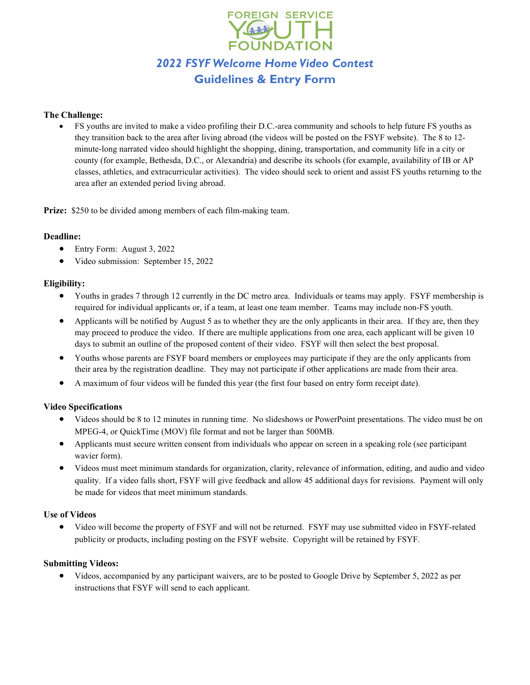

#### **The Challenge:**

• FS youths are invited to make a video profiling their D.C.-area community and schools to help future FS youths as they transition back to the area after living abroad (the videos will be posted on the FSYF website). The 8 to 12 minute-long narrated video should highlight the shopping, dining, transportation, and community life in a city or county (for example, Bethesda, D.C., or Alexandria) and describe its schools (for example, availability of IB or AP classes, athletics, and extracurricular activities). The video should seek to orient and assist FS youths returning to the area after an extended period living abroad.

**Prize:** \$250 to be divided among members of each film-making team.

### **Deadline:**

- Entry Form: August 3, 2022
- Video submission: September 15, 2022

### **Eligibility:**

- Youths in grades 7 through 12 currently in the DC metro area. Individuals or teams may apply. FSYF membership is required for individual applicants or, if a team, at least one team member. Teams may include non-FS youth.
- Applicants will be notified by August 5 as to whether they are the only applicants in their area. If they are, then they may proceed to produce the video. If there are multiple applications from one area, each applicant will be given 10 days to submit an outline of the proposed content of their video. FSYF will then select the best proposal.
- Youths whose parents are FSYF board members or employees may participate if they are the only applicants from their area by the registration deadline. They may not participate if other applications are made from their area.
- A maximum of four videos will be funded this year (the first four based on entry form receipt date).

## **Video Specifications**

- Videos should be 8 to 12 minutes in running time. No slideshows or PowerPoint presentations. The video must be on MPEG-4, or QuickTime (MOV) file format and not be larger than 500MB.
- Applicants must secure written consent from individuals who appear on screen in a speaking role (see participant wavier form).
- Videos must meet minimum standards for organization, clarity, relevance of information, editing, and audio and video quality. If a video falls short, FSYF will give feedback and allow 45 additional days for revisions. Payment will only be made for videos that meet minimum standards.

#### **Use of Videos**

• Video will become the property of FSYF and will not be returned. FSYF may use submitted video in FSYF-related publicity or products, including posting on the FSYF website. Copyright will be retained by FSYF.

#### **Submitting Videos:**

• Videos, accompanied by any participant waivers, are to be posted to Google Drive by September 5, 2022 as per instructions that FSYF will send to each applicant.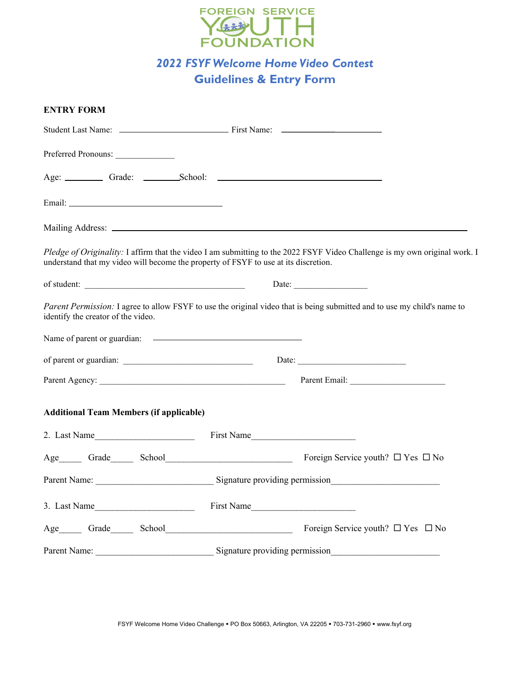

# *2022 FSYF Welcome Home Video Contest* **Guidelines & Entry Form**

| <b>ENTRY FORM</b>                              |                                                                                                                                                                                                                                |
|------------------------------------------------|--------------------------------------------------------------------------------------------------------------------------------------------------------------------------------------------------------------------------------|
|                                                |                                                                                                                                                                                                                                |
| Preferred Pronouns:                            |                                                                                                                                                                                                                                |
|                                                | Age: Grade: School: 2000 Chapter 2000 Chapter 2000 Chapter 3 Chapter 3 Chapter 3 Chapter 3 Chapter 3 Chapter 3 Chapter 3 Chapter 3 Chapter 3 Chapter 3 Chapter 3 Chapter 3 Chapter 3 Chapter 3 Chapter 3 Chapter 3 Chapter 3 C |
|                                                |                                                                                                                                                                                                                                |
|                                                |                                                                                                                                                                                                                                |
|                                                | Pledge of Originality: I affirm that the video I am submitting to the 2022 FSYF Video Challenge is my own original work. I<br>understand that my video will become the property of FSYF to use at its discretion.              |
|                                                |                                                                                                                                                                                                                                |
| identify the creator of the video.             | Parent Permission: I agree to allow FSYF to use the original video that is being submitted and to use my child's name to                                                                                                       |
|                                                |                                                                                                                                                                                                                                |
|                                                |                                                                                                                                                                                                                                |
|                                                |                                                                                                                                                                                                                                |
| <b>Additional Team Members (if applicable)</b> |                                                                                                                                                                                                                                |
| 2. Last Name                                   | First Name                                                                                                                                                                                                                     |
|                                                | Age Grade School School<br>Foreign Service youth? $\Box$ Yes $\Box$ No                                                                                                                                                         |
|                                                |                                                                                                                                                                                                                                |
| 3. Last Name                                   | First Name                                                                                                                                                                                                                     |
|                                                | Foreign Service youth? $\Box$ Yes $\Box$ No<br>Age Grade School School                                                                                                                                                         |
|                                                | Parent Name: Signature providing permission_                                                                                                                                                                                   |